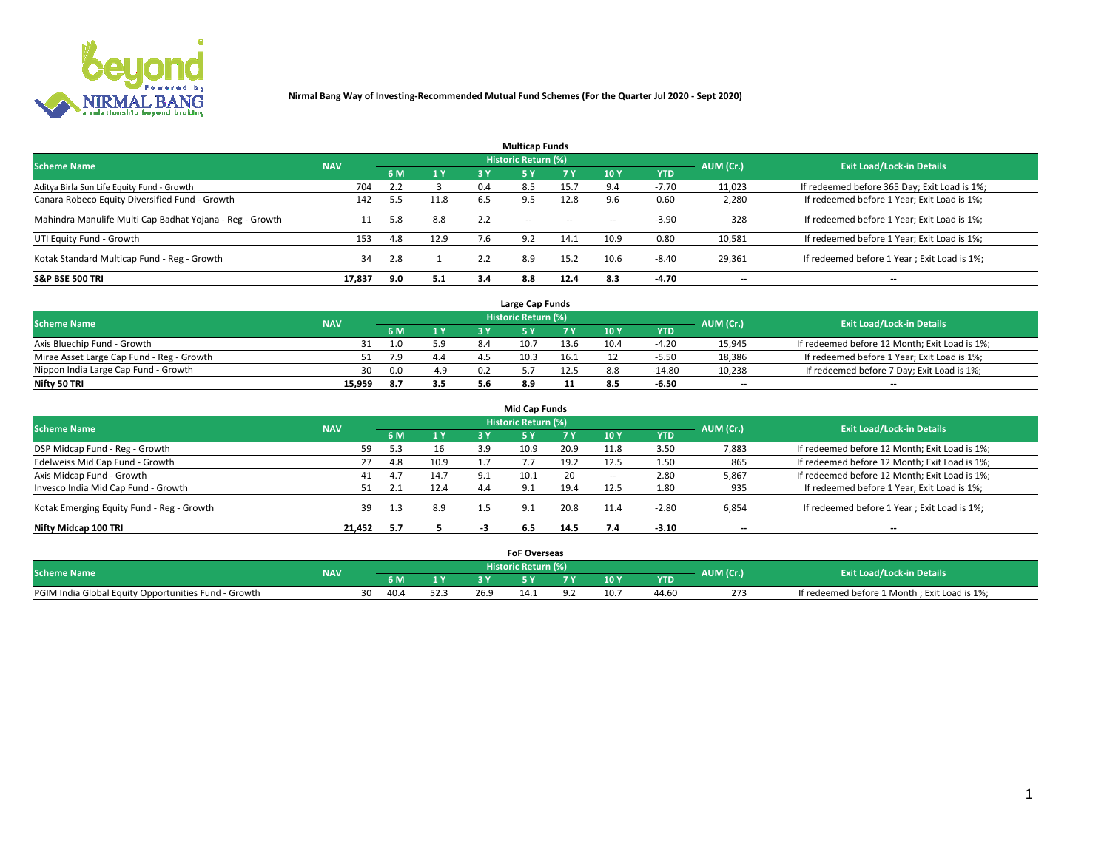

|                                                          |            |     |      |     | <b>Multicap Funds</b> |           |        |            |           |                                              |
|----------------------------------------------------------|------------|-----|------|-----|-----------------------|-----------|--------|------------|-----------|----------------------------------------------|
| <b>Scheme Name</b>                                       | <b>NAV</b> |     |      |     | Historic Return (%)   |           |        |            | AUM (Cr.) | <b>Exit Load/Lock-in Details</b>             |
|                                                          |            | 6 M | 1 Y  | 3 Y | <b>5Y</b>             | <b>7Y</b> | 10Y    | <b>YTD</b> |           |                                              |
| Aditya Birla Sun Life Equity Fund - Growth               | 704        |     |      | 0.4 | 8.5                   | 15.7      |        | $-7.70$    | 11,023    | If redeemed before 365 Day; Exit Load is 1%; |
| Canara Robeco Equity Diversified Fund - Growth           | 142        | 5.5 | 11.8 | 6.5 |                       | 12.8      |        | 0.60       | 2,280     | If redeemed before 1 Year; Exit Load is 1%;  |
| Mahindra Manulife Multi Cap Badhat Yojana - Reg - Growth | 11         | 5.8 | 8.8  | 2.2 | $\sim$ $-$            | $\sim$    | $\sim$ | $-3.90$    | 328       | If redeemed before 1 Year; Exit Load is 1%;  |
| UTI Equity Fund - Growth                                 | 153        | 4.8 | 12.9 | 7.6 | 9.2                   | 14.1      | 10.9   | 0.80       | 10,581    | If redeemed before 1 Year; Exit Load is 1%;  |
| Kotak Standard Multicap Fund - Reg - Growth              | 34         | 2.8 |      | 2.2 | 8.9                   | 15.2      | 10.6   | $-8.40$    | 29,361    | If redeemed before 1 Year; Exit Load is 1%;  |
| <b>S&amp;P BSE 500 TRI</b>                               | 17.837     | 9.0 | 5.1  | 3.4 | 8.8                   | 12.4      | 8.3    | $-4.70$    | --        | $- -$                                        |

|                                           |            |     |              | Large Cap Funds     |      |      |            |                          |                                               |
|-------------------------------------------|------------|-----|--------------|---------------------|------|------|------------|--------------------------|-----------------------------------------------|
| <b>Scheme Name</b>                        | <b>NAV</b> |     |              | Historic Return (%) |      |      |            | AUM (Cr.)                | <b>Exit Load/Lock-in Details</b>              |
|                                           |            | 6 M | $\sqrt{1}$ Y |                     |      | 10 Y | <b>YTD</b> |                          |                                               |
| Axis Bluechip Fund - Growth               |            |     | 5.9          | 10.7                | 13.6 | 10.4 | $-4.20$    | 15,945                   | If redeemed before 12 Month; Exit Load is 1%; |
| Mirae Asset Large Cap Fund - Reg - Growth |            |     | 4.4          | 10.3                | 16.1 |      | $-5.50$    | 18,386                   | If redeemed before 1 Year; Exit Load is 1%;   |
| Nippon India Large Cap Fund - Growth      | 30         | 0.0 | $-4.9$       |                     | 12.5 | 8.8  | -14.80     | 10,238                   | If redeemed before 7 Day; Exit Load is 1%;    |
| Nifty 50 TRI                              | 15.959     |     | 3.5          | 8.9                 |      | 8.5  | $-6.50$    | $\overline{\phantom{a}}$ | $- -$                                         |

| <b>Mid Cap Funds</b>                      |            |     |      |     |                            |      |            |            |                          |                                               |  |  |  |
|-------------------------------------------|------------|-----|------|-----|----------------------------|------|------------|------------|--------------------------|-----------------------------------------------|--|--|--|
| <b>Scheme Name</b>                        | <b>NAV</b> |     |      |     | <b>Historic Return (%)</b> |      |            |            | AUM (Cr.)                | <b>Exit Load/Lock-in Details</b>              |  |  |  |
|                                           |            | 6 M | 1 Y  | 3 Y |                            | 7 V. | <b>10Y</b> | <b>YTD</b> |                          |                                               |  |  |  |
| DSP Midcap Fund - Reg - Growth            | 59         | 5.3 | 16   | 3.9 | 10.9                       | 20.9 | 11.8       | 3.50       | 7,883                    | If redeemed before 12 Month; Exit Load is 1%; |  |  |  |
| Edelweiss Mid Cap Fund - Growth           | 27         | 4.8 | 10.9 |     |                            | 19.2 | 12.5       | 1.50       | 865                      | If redeemed before 12 Month; Exit Load is 1%; |  |  |  |
| Axis Midcap Fund - Growth                 | 41         | 4.7 | 14.7 | 9.1 | 10.1                       | 20   |            | 2.80       | 5,867                    | If redeemed before 12 Month; Exit Load is 1%; |  |  |  |
| Invesco India Mid Cap Fund - Growth       | 51         |     | 12.4 | 4.4 | 9.1                        | 19.4 | 12.5       | 1.80       | 935                      | If redeemed before 1 Year; Exit Load is 1%;   |  |  |  |
| Kotak Emerging Equity Fund - Reg - Growth | 39         | 1.3 | 8.9  | 1.5 | 9.1                        | 20.8 | 11.4       | $-2.80$    | 6,854                    | If redeemed before 1 Year; Exit Load is 1%;   |  |  |  |
| Nifty Midcap 100 TRI                      | 21.452     | 5.7 |      | - 5 | 6.5                        | 14.5 |            | $-3.10$    | $\overline{\phantom{a}}$ | $- -$                                         |  |  |  |

|                                                      |            |    |      |          | <b>FoF Overseas</b>        |     |            |           |                                              |
|------------------------------------------------------|------------|----|------|----------|----------------------------|-----|------------|-----------|----------------------------------------------|
| <b>Scheme Name</b>                                   | <b>NAV</b> |    |      |          | <b>Historic Return (%)</b> |     |            | AUM (Cr.) | <b>Exit Load/Lock-in Details</b>             |
|                                                      |            |    | 6 M  |          |                            | 10Y | <b>YTD</b> |           |                                              |
| PGIM India Global Equity Opportunities Fund - Growth |            | 30 | 40.4 | <br>26.9 |                            |     | 44.60      | 273       | If redeemed before 1 Month; Exit Load is 1%; |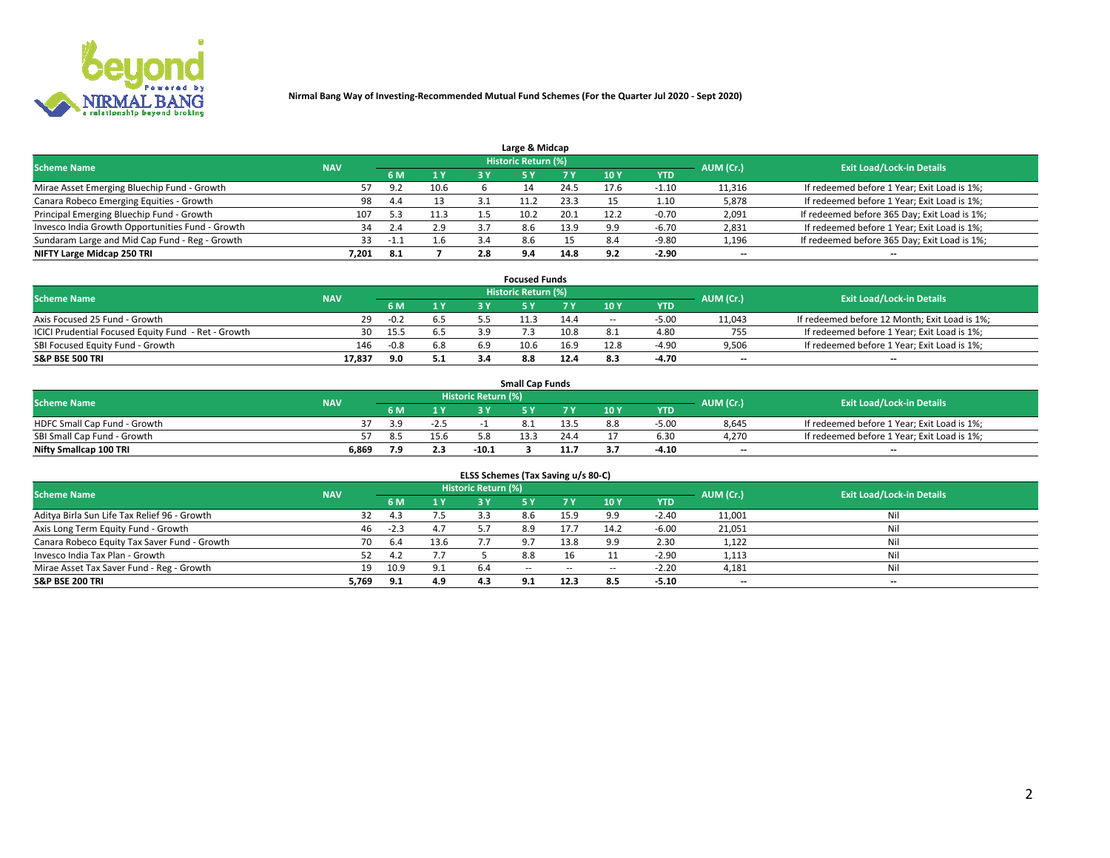

| Large & Midcap                                   |            |               |      |     |                     |      |      |            |                          |                                              |  |  |  |
|--------------------------------------------------|------------|---------------|------|-----|---------------------|------|------|------------|--------------------------|----------------------------------------------|--|--|--|
| <b>Scheme Name</b>                               | <b>NAV</b> |               |      |     | Historic Return (%) |      |      |            | AUM (Cr.)                | <b>Exit Load/Lock-in Details</b>             |  |  |  |
|                                                  |            | 6 M           | 1 Y  |     |                     |      | 10Y  | <b>YTD</b> |                          |                                              |  |  |  |
| Mirae Asset Emerging Bluechip Fund - Growth      |            | 9.2           | 10.6 |     |                     | 24.5 | 17.6 | 1.10       | 11,316                   | If redeemed before 1 Year; Exit Load is 1%;  |  |  |  |
| Canara Robeco Emerging Equities - Growth         | 98         | 4.4           | 13   |     |                     | 23.3 |      | 1.10       | 5,878                    | If redeemed before 1 Year; Exit Load is 1%;  |  |  |  |
| Principal Emerging Bluechip Fund - Growth        | 107        | 5.3           | 11.3 |     | 10.2                | 20.1 | 12.2 | $-0.70$    | 2,091                    | If redeemed before 365 Day; Exit Load is 1%; |  |  |  |
| Invesco India Growth Opportunities Fund - Growth | 34         | $2.4^{\circ}$ | 2.9  | 37  | 8.6                 | 13.9 | 9.9  | $-6.70$    | 2,831                    | If redeemed before 1 Year; Exit Load is 1%;  |  |  |  |
| Sundaram Large and Mid Cap Fund - Reg - Growth   | 33         | -1.1          | 1.6  |     | 8.6                 |      | 8.4  | $-9.80$    | 1,196                    | If redeemed before 365 Day; Exit Load is 1%; |  |  |  |
| NIFTY Large Midcap 250 TRI                       | 7.201      |               |      | 2.8 | 9.4                 | 14.8 | 9.2  | $-2.90$    | $\overline{\phantom{a}}$ | $- -$                                        |  |  |  |

|                                                     |            |                                  |     | <b>Focused Funds</b> |      |        |            |                          |                                               |
|-----------------------------------------------------|------------|----------------------------------|-----|----------------------|------|--------|------------|--------------------------|-----------------------------------------------|
| <b>Scheme Name</b>                                  | AUM (Cr.)  | <b>Exit Load/Lock-in Details</b> |     |                      |      |        |            |                          |                                               |
|                                                     | <b>NAV</b> | 6 M                              | 1 Y |                      |      | 10 Y   | <b>YTD</b> |                          |                                               |
| Axis Focused 25 Fund - Growth                       | 29         | $-0.2$                           | 6.5 | 11.3                 | 14.4 | $\sim$ | $-5.0C$    | 11,043                   | If redeemed before 12 Month; Exit Load is 1%; |
| ICICI Prudential Focused Equity Fund - Ret - Growth | 30         | 15.5                             | 6.5 |                      | 10.8 |        | 4.80       | 755                      | If redeemed before 1 Year; Exit Load is 1%;   |
| SBI Focused Equity Fund - Growth                    | 146        | $-0.8$                           | 6.8 | 10.6                 | 16.9 | 12.8   | $-4.90$    | 9,506                    | If redeemed before 1 Year; Exit Load is 1%;   |
| S&P BSE 500 TRI                                     | 17,837     | 9.0                              | 5.1 |                      | 12.4 | 8.3    | -4.70      | $\overline{\phantom{a}}$ | $- -$                                         |

|                              |            |     |        |                     | <b>Small Cap Funds</b> |                                  |            |       |                                             |
|------------------------------|------------|-----|--------|---------------------|------------------------|----------------------------------|------------|-------|---------------------------------------------|
| <b>Scheme Name</b>           | <b>NAV</b> |     |        | Historic Return (%) | AUM (Cr.)              | <b>Exit Load/Lock-in Details</b> |            |       |                                             |
|                              |            | 6 M | 1 Y    |                     |                        | 10 <sub>Y</sub>                  | <b>YTD</b> |       |                                             |
| HDFC Small Cap Fund - Growth |            |     | $-2.5$ |                     |                        | 8.8                              | $-5.00$    | 8,645 | If redeemed before 1 Year; Exit Load is 1%; |
| SBI Small Cap Fund - Growth  |            | 8.5 | 15.6   |                     | 13.3                   |                                  | 6.30       | 4.270 | If redeemed before 1 Year; Exit Load is 1%; |
| Nifty Smallcap 100 TRI       | 6.869      |     | 2.3    | $-10.1$             |                        |                                  | -4.10      | $- -$ | $- -$                                       |

| ELSS Schemes (Tax Saving u/s 80-C)           |            |        |      |                            |            |        |                          |            |                          |                                  |  |  |  |
|----------------------------------------------|------------|--------|------|----------------------------|------------|--------|--------------------------|------------|--------------------------|----------------------------------|--|--|--|
| <b>Scheme Name</b>                           | <b>NAV</b> |        |      | <b>Historic Return (%)</b> |            |        |                          |            | AUM (Cr.)                | <b>Exit Load/Lock-in Details</b> |  |  |  |
|                                              |            | 6 M    | 1Y   | 73 Y                       | <b>5Y</b>  | 7 Y    | 10 Y                     | <b>YTD</b> |                          |                                  |  |  |  |
| Aditya Birla Sun Life Tax Relief 96 - Growth | 32         | 4.3    | 7.5  |                            | 8.6        | 15.9   | 9.9                      | $-2.40$    | 11,001                   | Nil                              |  |  |  |
| Axis Long Term Equity Fund - Growth          | 46         | $-2.3$ | 4.7  |                            | 8.9        | 17.7   | 14.2                     | $-6.00$    | 21,051                   | Nil                              |  |  |  |
| Canara Robeco Equity Tax Saver Fund - Growth | 70         | 6.4    | 13.6 |                            | 9.7        | 13.8   | 9.9                      | 2.30       | 1,122                    | Nil                              |  |  |  |
| Invesco India Tax Plan - Growth              |            | 4.2    | 7.7  |                            | 8.8        |        |                          | $-2.90$    | 1,113                    | Nil                              |  |  |  |
| Mirae Asset Tax Saver Fund - Reg - Growth    | 19         | 10.9   | 9.1  | 6.4                        | $\sim$ $-$ | $\sim$ | $\overline{\phantom{a}}$ | $-2.20$    | 4,181                    | Nil                              |  |  |  |
| S&P BSE 200 TRI                              | 5,769      | 9.1    | 4.9  | 4.3                        | 9.1        | 12.3   | 8.5                      | $-5.10$    | $\overline{\phantom{a}}$ | $- -$                            |  |  |  |

# 2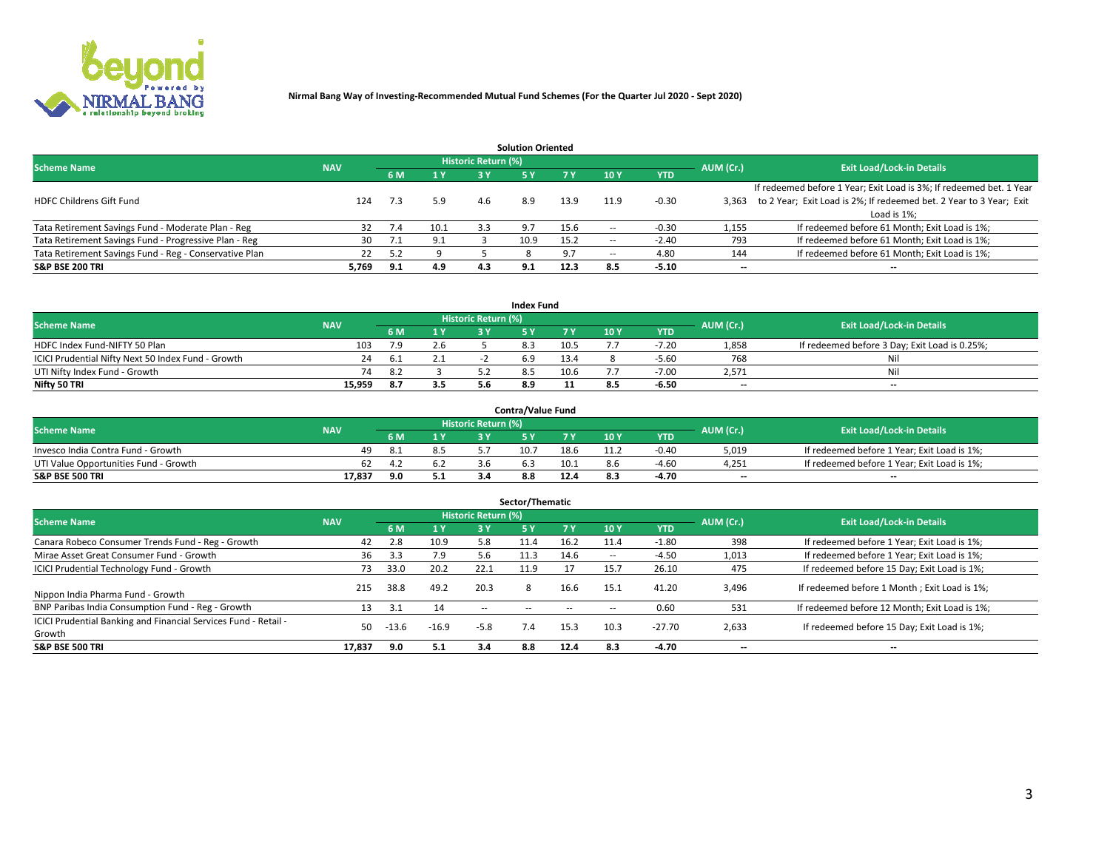

|                                                        |            |            |      |                            | <b>Solution Oriented</b> |      |                          |            |                          |                                                                     |
|--------------------------------------------------------|------------|------------|------|----------------------------|--------------------------|------|--------------------------|------------|--------------------------|---------------------------------------------------------------------|
| <b>Scheme Name</b>                                     | <b>NAV</b> |            |      | <b>Historic Return (%)</b> |                          |      |                          |            | AUM (Cr.)                | <b>Exit Load/Lock-in Details</b>                                    |
|                                                        |            | <b>6 M</b> | 1 Y  | 3 Y                        |                          |      | 10Y                      | <b>YTD</b> |                          |                                                                     |
|                                                        |            |            |      |                            |                          |      |                          |            |                          | If redeemed before 1 Year; Exit Load is 3%; If redeemed bet. 1 Year |
| <b>HDFC Childrens Gift Fund</b>                        | 124        | 7.3        | 5.9  | 4.6                        | 8.9                      | 13.9 | 11.9                     | $-0.30$    | 3.363                    | to 2 Year; Exit Load is 2%; If redeemed bet. 2 Year to 3 Year; Exit |
|                                                        |            |            |      |                            |                          |      |                          |            |                          | Load is 1%;                                                         |
| Tata Retirement Savings Fund - Moderate Plan - Reg     | 32         | 7.4        | 10.1 | 3.3                        | 9.7                      | 15.6 |                          | -0.30      | 1,155                    | If redeemed before 61 Month; Exit Load is 1%;                       |
| Tata Retirement Savings Fund - Progressive Plan - Reg  | 30         | 7.1        | 9.1  |                            | 10.9                     | 15.2 | $\overline{\phantom{a}}$ | $-2.40$    | 793                      | If redeemed before 61 Month; Exit Load is 1%;                       |
| Tata Retirement Savings Fund - Reg - Conservative Plan | 22         | ς γ        |      |                            |                          |      | --                       | 4.80       | 144                      | If redeemed before 61 Month; Exit Load is 1%;                       |
| S&P BSE 200 TRI                                        | 5,769      | 9.1        | 4.9  | 4.3                        | 9.1                      | 12.3 | 8.5                      | $-5.10$    | $\overline{\phantom{a}}$ | $- -$                                                               |

|                                                    |            |     |              |                            | <b>Index Fund</b> |      |      |            |           |                                               |
|----------------------------------------------------|------------|-----|--------------|----------------------------|-------------------|------|------|------------|-----------|-----------------------------------------------|
| <b>Scheme Name</b>                                 | <b>NAV</b> |     |              | <b>Historic Return (%)</b> |                   |      |      |            | AUM (Cr.) | <b>Exit Load/Lock-in Details</b>              |
|                                                    |            | 6 M | $\sqrt{1}$ Y | 2 V                        |                   |      | 10 Y | <b>YTD</b> |           |                                               |
| HDFC Index Fund-NIFTY 50 Plan                      | 103        |     | 2.6          |                            |                   | 10.5 |      | $-7.20$    | 1,858     | If redeemed before 3 Day; Exit Load is 0.25%; |
| ICICI Prudential Nifty Next 50 Index Fund - Growth |            |     |              |                            |                   | 13.4 |      | $-5.60$    | 768       | Nil                                           |
| UTI Nifty Index Fund - Growth                      | 74         | 8.2 |              |                            |                   | 10.6 |      | $-7.00$    | 2,571     | Nil                                           |
| Nifty 50 TRI                                       | 15,959     |     | 3.5          |                            | 8.9               |      | 8.5  | -6.50      | $- -$     | $- -$                                         |

|                                       |            |     |                            | <b>Contra/Value Fund</b> |      |     |            |                          |                                             |
|---------------------------------------|------------|-----|----------------------------|--------------------------|------|-----|------------|--------------------------|---------------------------------------------|
| <b>Scheme Name</b>                    | <b>NAV</b> |     | <b>Historic Return (%)</b> |                          |      |     |            | AUM (Cr.)                | <b>Exit Load/Lock-in Details</b>            |
|                                       |            | 4 W |                            |                          | 7 V  | 10Y | <b>YTD</b> |                          |                                             |
| Invesco India Contra Fund - Growth    | 49.        |     |                            | 10.                      | 18.6 |     | $-0.40$    | 5,019                    | If redeemed before 1 Year; Exit Load is 1%; |
| UTI Value Opportunities Fund - Growth | 62         |     |                            |                          | 10.1 |     | $-4.60$    | 4,251                    | If redeemed before 1 Year; Exit Load is 1%; |
| <b>S&amp;P BSE 500 TRI</b>            | 17.837     | 5.1 |                            |                          |      |     | $-4.70$    | $\overline{\phantom{a}}$ | $- -$                                       |

| Sector/Thematic                                                           |            |         |         |                     |            |            |                          |            |           |                                               |  |  |  |
|---------------------------------------------------------------------------|------------|---------|---------|---------------------|------------|------------|--------------------------|------------|-----------|-----------------------------------------------|--|--|--|
| <b>Scheme Name</b>                                                        | <b>NAV</b> |         |         | Historic Return (%) |            |            |                          |            | AUM (Cr.) | <b>Exit Load/Lock-in Details</b>              |  |  |  |
|                                                                           |            | 6 M     | 1 Y     | 3 Y                 | <b>5Y</b>  | <b>7 Y</b> | 10Y                      | <b>YTD</b> |           |                                               |  |  |  |
| Canara Robeco Consumer Trends Fund - Reg - Growth                         | 42         | 2.8     | 10.9    | 5.8                 | 11.4       | 16.2       | 11.4                     | $-1.80$    | 398       | If redeemed before 1 Year; Exit Load is 1%;   |  |  |  |
| Mirae Asset Great Consumer Fund - Growth                                  | 36         | 3.3     | 7.9     | 5.6                 | .1.3       | 14.6       | $\overline{\phantom{a}}$ | $-4.50$    | 1,013     | If redeemed before 1 Year; Exit Load is 1%;   |  |  |  |
| <b>ICICI Prudential Technology Fund - Growth</b>                          | 73         | 33.0    | 20.2    | 22.1                | 11.9       |            | 15.7                     | 26.10      | 475       | If redeemed before 15 Day; Exit Load is 1%;   |  |  |  |
| Nippon India Pharma Fund - Growth                                         | 215        | 38.8    | 49.2    | 20.3                | 8          | 16.6       | 15.3                     | 41.20      | 3,496     | If redeemed before 1 Month; Exit Load is 1%;  |  |  |  |
| BNP Paribas India Consumption Fund - Reg - Growth                         | 13         | 3.1     | 14      | $\sim$ $\sim$       | $\sim$ $-$ | $- -$      | $\overline{\phantom{a}}$ | 0.60       | 531       | If redeemed before 12 Month; Exit Load is 1%; |  |  |  |
| ICICI Prudential Banking and Financial Services Fund - Retail -<br>Growth | 50         | $-13.6$ | $-16.9$ | $-5.8$              | 7.4        | 15.3       | 10.3                     | $-27.70$   | 2,633     | If redeemed before 15 Day; Exit Load is 1%;   |  |  |  |
| <b>S&amp;P BSE 500 TRI</b>                                                | 17,837     | 9.0     | 5.1     | 3.4                 | 8.8        | 12.4       | 8.3                      | $-4.70$    | $- -$     | --                                            |  |  |  |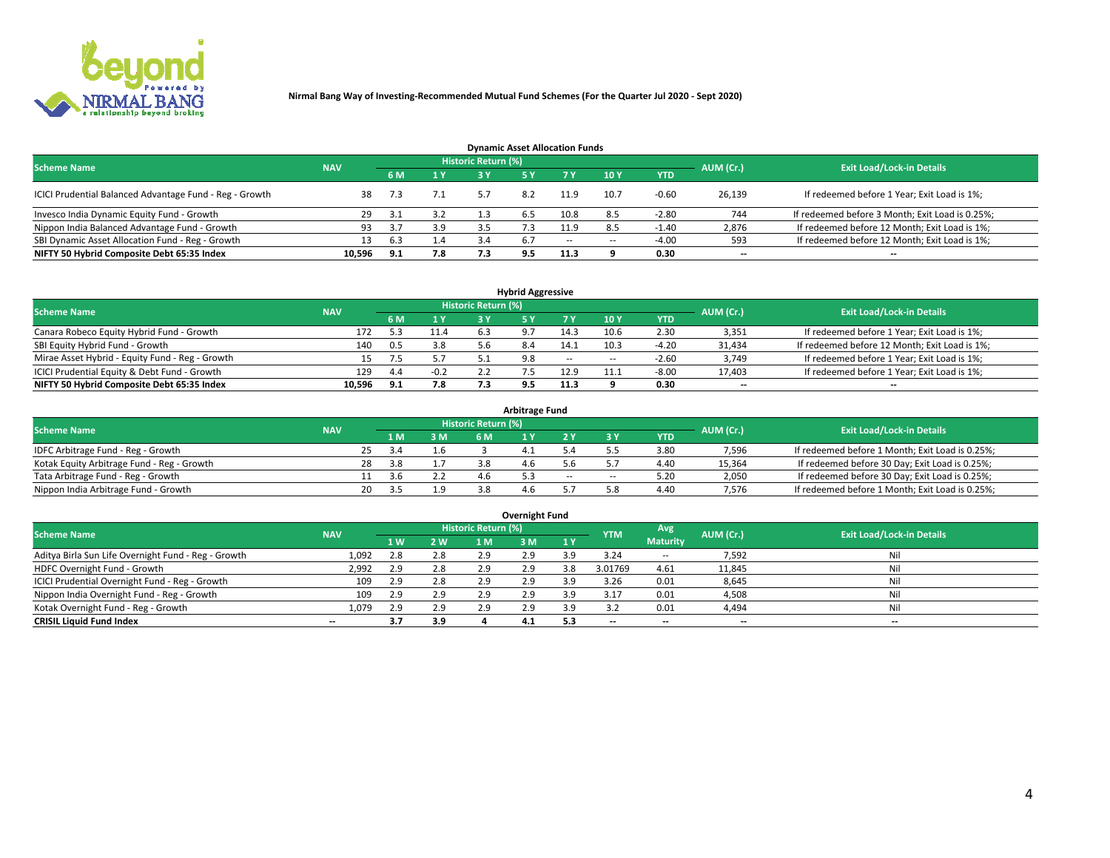

| <b>Dynamic Asset Allocation Funds</b>                   |            |     |     |                            |     |        |      |            |                          |                                                 |  |  |  |  |
|---------------------------------------------------------|------------|-----|-----|----------------------------|-----|--------|------|------------|--------------------------|-------------------------------------------------|--|--|--|--|
| <b>Scheme Name</b>                                      | <b>NAV</b> |     |     | <b>Historic Return (%)</b> |     |        |      |            | AUM (Cr.)                | <b>Exit Load/Lock-in Details</b>                |  |  |  |  |
|                                                         |            | 6 M | 1 Y | 3 Y                        |     |        | 10Y  | <b>YTD</b> |                          |                                                 |  |  |  |  |
| ICICI Prudential Balanced Advantage Fund - Reg - Growth | 38         | 7.3 |     |                            |     | 11.9   | 10.7 | $-0.60$    | 26,139                   | If redeemed before 1 Year; Exit Load is 1%;     |  |  |  |  |
| Invesco India Dynamic Equity Fund - Growth              | 29         | 3.1 | 3.2 |                            | 6.5 | 10.8   | 8.5  | $-2.80$    | 744                      | If redeemed before 3 Month; Exit Load is 0.25%; |  |  |  |  |
| Nippon India Balanced Advantage Fund - Growth           | 93         |     | 3.9 |                            |     | 1.9ء   | 8.5  | $-1.40$    | 2,876                    | If redeemed before 12 Month; Exit Load is 1%;   |  |  |  |  |
| SBI Dynamic Asset Allocation Fund - Reg - Growth        |            | 6.3 | 1.4 | 3.4                        | 6.7 | $\sim$ | --   | $-4.00$    | 593                      | If redeemed before 12 Month; Exit Load is 1%;   |  |  |  |  |
| NIFTY 50 Hybrid Composite Debt 65:35 Index              | 10,596     | 9.1 | 7.8 | 7.3                        | 9.5 | 11.3   |      | 0.30       | $\overline{\phantom{a}}$ | $- -$                                           |  |  |  |  |

| <b>Hybrid Aggressive</b>                        |            |     |        |                     |     |        |                          |            |                          |                                               |  |  |  |  |
|-------------------------------------------------|------------|-----|--------|---------------------|-----|--------|--------------------------|------------|--------------------------|-----------------------------------------------|--|--|--|--|
| <b>Scheme Name</b>                              | <b>NAV</b> |     |        | Historic Return (%) |     |        |                          |            | AUM (Cr.)                | <b>Exit Load/Lock-in Details</b>              |  |  |  |  |
|                                                 |            | 6 M | 1 Y    | RУ                  |     |        | 10Y                      | <b>YTD</b> |                          |                                               |  |  |  |  |
| Canara Robeco Equity Hybrid Fund - Growth       | 172        |     | 11.4   |                     |     | 14.3   | 10.6                     | 2.30       | 3,351                    | If redeemed before 1 Year; Exit Load is 1%;   |  |  |  |  |
| SBI Equity Hybrid Fund - Growth                 | 140        | 0.5 | 3.8    |                     |     | 14.1   | 10.3                     | $-4.20$    | 31,434                   | If redeemed before 12 Month; Exit Load is 1%; |  |  |  |  |
| Mirae Asset Hybrid - Equity Fund - Reg - Growth | 15.        | 7.5 |        |                     | 9.8 | $\sim$ | $\overline{\phantom{a}}$ | $-2.60$    | 3,749                    | If redeemed before 1 Year; Exit Load is 1%;   |  |  |  |  |
| ICICI Prudential Equity & Debt Fund - Growth    | 129        | 4.4 | $-0.2$ |                     |     | 12.9   | 11.1                     | $-8.00$    | 17,403                   | If redeemed before 1 Year; Exit Load is 1%;   |  |  |  |  |
| NIFTY 50 Hybrid Composite Debt 65:35 Index      | 10.596     | 9.1 | 7.8    |                     |     | 11.3   |                          | 0.30       | $\overline{\phantom{a}}$ | $- -$                                         |  |  |  |  |

| <b>Arbitrage Fund</b>                      |                                                         |    |     |     |     |     |     |        |            |           |                                                 |  |  |  |
|--------------------------------------------|---------------------------------------------------------|----|-----|-----|-----|-----|-----|--------|------------|-----------|-------------------------------------------------|--|--|--|
|                                            | Historic Return (%)<br><b>Scheme Name</b><br><b>NAV</b> |    |     |     |     |     |     |        |            |           |                                                 |  |  |  |
|                                            |                                                         |    | 4 M | 3 M | 6 M |     |     |        | <b>YTD</b> | AUM (Cr.) | <b>Exit Load/Lock-in Details</b>                |  |  |  |
| IDFC Arbitrage Fund - Reg - Growth         |                                                         | 25 |     | 1.6 |     |     |     |        | 3.80       | 7,596     | If redeemed before 1 Month; Exit Load is 0.25%; |  |  |  |
| Kotak Equity Arbitrage Fund - Reg - Growth |                                                         | 28 | 3.8 |     |     |     |     |        | 4.40       | 15,364    | If redeemed before 30 Day; Exit Load is 0.25%;  |  |  |  |
| Tata Arbitrage Fund - Reg - Growth         |                                                         |    |     |     | 4.h |     | $-$ | $\sim$ | 5.20       | 2,050     | If redeemed before 30 Day; Exit Load is 0.25%;  |  |  |  |
| Nippon India Arbitrage Fund - Growth       |                                                         | 20 |     | 1.9 |     | 4.6 |     |        | 4.40       | 7.576     | If redeemed before 1 Month; Exit Load is 0.25%; |  |  |  |

| Overnight Fund                                      |            |            |     |                     |     |           |            |                 |                          |                                  |  |  |  |  |
|-----------------------------------------------------|------------|------------|-----|---------------------|-----|-----------|------------|-----------------|--------------------------|----------------------------------|--|--|--|--|
| <b>Scheme Name</b>                                  | <b>NAV</b> |            |     | Historic Return (%) |     |           | <b>YTM</b> | Avg             | AUM (Cr.)                | <b>Exit Load/Lock-in Details</b> |  |  |  |  |
|                                                     |            | <b>1 W</b> | 2 W | 1 M                 | : M | <b>1Y</b> |            | <b>Maturity</b> |                          |                                  |  |  |  |  |
| Aditya Birla Sun Life Overnight Fund - Reg - Growth | 1,092      | 2.8        | 2.8 | 2.9                 | 2.9 | 3 Q       | 3.24       | $\sim$ $-$      | 7,592                    | Nil                              |  |  |  |  |
| HDFC Overnight Fund - Growth                        | 2,992      | 2.9        | 2.8 | 2.9                 | 2.9 | 3.8       | 3.01769    | 4.61            | 11,845                   | Nil                              |  |  |  |  |
| ICICI Prudential Overnight Fund - Reg - Growth      | 109        |            | 2.8 | 2.9                 | 2.9 | ıа        | 3.26       | 0.01            | 8,645                    | Nil                              |  |  |  |  |
| Nippon India Overnight Fund - Reg - Growth          | 109        | 2.9        | 2.9 | 2.9                 | 2.9 | 3.9       | 3.17       | 0.01            | 4,508                    | Nil                              |  |  |  |  |
| Kotak Overnight Fund - Reg - Growth                 | 1,079      | 2.9        | 2.9 | 2.9                 | 2.9 | 3 Q       |            | 0.01            | 4,494                    | Nil                              |  |  |  |  |
| <b>CRISIL Liquid Fund Index</b>                     | $-$        | 3.7        | 3.9 |                     | 4.1 | 5.3       | --         | $- -$           | $\overline{\phantom{a}}$ | $- -$                            |  |  |  |  |

### **Overnight Fund**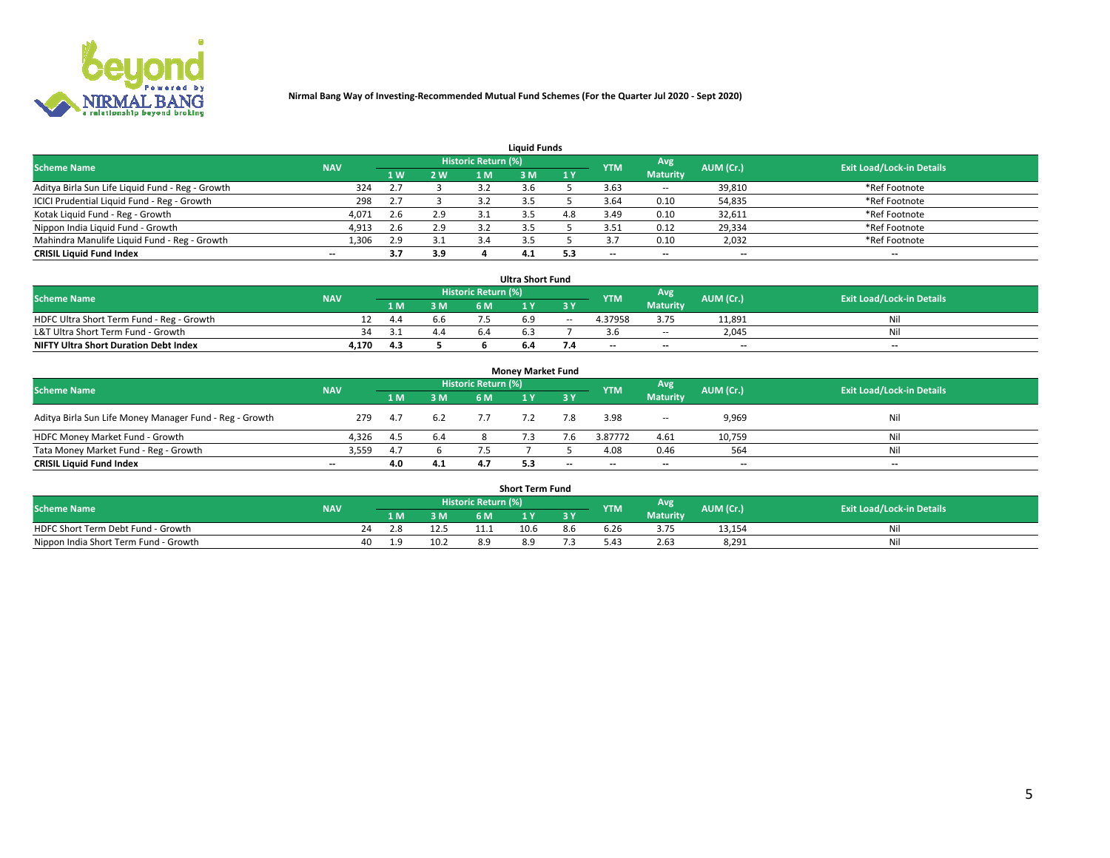

| <b>Liauid Funds</b>                              |            |                |     |                            |     |     |            |                 |           |                                  |  |  |  |  |
|--------------------------------------------------|------------|----------------|-----|----------------------------|-----|-----|------------|-----------------|-----------|----------------------------------|--|--|--|--|
| <b>Scheme Name</b>                               | <b>NAV</b> |                |     | <b>Historic Return (%)</b> |     |     | <b>YTM</b> | Avg             | AUM (Cr.) | <b>Exit Load/Lock-in Details</b> |  |  |  |  |
|                                                  |            | 1 <sub>W</sub> | 2 W |                            | : M | 1Y  |            | <b>Maturity</b> |           |                                  |  |  |  |  |
| Aditya Birla Sun Life Liquid Fund - Reg - Growth | 324        |                |     |                            |     |     | 3.63       | $\sim$ $-$      | 39,810    | *Ref Footnote                    |  |  |  |  |
| ICICI Prudential Liquid Fund - Reg - Growth      | 298        |                |     |                            |     |     | 3.64       | 0.10            | 54,835    | *Ref Footnote                    |  |  |  |  |
| Kotak Liquid Fund - Reg - Growth                 | 4,071      | 2.6            | 2.9 |                            |     | 4.8 | 3.49       | 0.10            | 32,611    | *Ref Footnote                    |  |  |  |  |
| Nippon India Liquid Fund - Growth                | 4,913      | 2.6            | 2.9 |                            |     |     | 3.51       | 0.12            | 29,334    | *Ref Footnote                    |  |  |  |  |
| Mahindra Manulife Liquid Fund - Reg - Growth     | 1,306      | 2.9            | 3.1 |                            |     |     |            | 0.10            | 2,032     | *Ref Footnote                    |  |  |  |  |
| <b>CRISIL Liquid Fund Index</b>                  | $- -$      | 3.7            | 3.9 |                            | 4.1 | 5.3 | $- -$      | $- -$           | --        | $- -$                            |  |  |  |  |

| <b>Ultra Short Fund</b>                                                                                                                     |       |      |     |     |  |        |                          |                 |                          |       |  |  |  |  |
|---------------------------------------------------------------------------------------------------------------------------------------------|-------|------|-----|-----|--|--------|--------------------------|-----------------|--------------------------|-------|--|--|--|--|
| <b>Historic Return (%)</b><br><b>Avg</b><br><b>Scheme Name</b><br>AUM (Cr.)<br><b>Exit Load/Lock-in Details</b><br><b>YTM</b><br><b>NAV</b> |       |      |     |     |  |        |                          |                 |                          |       |  |  |  |  |
|                                                                                                                                             |       | 1 M  | 3 M | 6 M |  |        |                          | <b>Maturity</b> |                          |       |  |  |  |  |
| HDFC Ultra Short Term Fund - Reg - Growth                                                                                                   |       | -4.4 | b.b |     |  | $\sim$ | 4.37958                  | 3.75            | 11.891                   | Nil   |  |  |  |  |
| L&T Ultra Short Term Fund - Growth                                                                                                          | 34    |      | 4.4 | 6.4 |  |        |                          | <b>COLUM</b>    | 2.045                    | Nil   |  |  |  |  |
| <b>NIFTY Ultra Short Duration Debt Index</b>                                                                                                | 4,170 | 4.3  |     |     |  |        | $\overline{\phantom{a}}$ | $- -$           | $\overline{\phantom{a}}$ | $- -$ |  |  |  |  |

| <b>Money Market Fund</b>                                |            |     |     |                     |  |       |                          |                 |                          |                                  |  |  |  |  |
|---------------------------------------------------------|------------|-----|-----|---------------------|--|-------|--------------------------|-----------------|--------------------------|----------------------------------|--|--|--|--|
| <b>Scheme Name</b>                                      | <b>NAV</b> |     |     | Historic Return (%) |  |       | <b>YTM</b>               | Avg             | AUM (Cr.)                | <b>Exit Load/Lock-in Details</b> |  |  |  |  |
|                                                         |            | 1 M | 3 M | 6 M                 |  | 3 Y   |                          | <b>Maturity</b> |                          |                                  |  |  |  |  |
| Aditya Birla Sun Life Money Manager Fund - Reg - Growth | 279        | 4.7 | 6.2 | 7.7                 |  | 7.8   | 3.98                     | $\sim$          | 9,969                    | Nil                              |  |  |  |  |
| HDFC Money Market Fund - Growth                         | 4.326      | 4.5 | 6.4 |                     |  |       | 3.87772                  | 4.61            | 10,759                   | Nil                              |  |  |  |  |
| Tata Money Market Fund - Reg - Growth                   | 3,559      | 4.7 |     |                     |  |       | 4.08                     | 0.46            | 564                      | Nil                              |  |  |  |  |
| <b>CRISIL Liquid Fund Index</b>                         | $- -$      | 4.0 | 4.1 |                     |  | $- -$ | $\overline{\phantom{a}}$ | $- -$           | $\overline{\phantom{a}}$ | $- -$                            |  |  |  |  |

| <b>Short Term Fund</b>                |            |      |      |                     |                                  |     |      |                 |           |   |  |  |  |  |
|---------------------------------------|------------|------|------|---------------------|----------------------------------|-----|------|-----------------|-----------|---|--|--|--|--|
| <b>Scheme Name</b>                    | <b>NAV</b> |      |      | Historic Return (%) | <b>Exit Load/Lock-in Details</b> |     |      |                 |           |   |  |  |  |  |
|                                       |            | 1 M. | 3 M  | 6 M                 | ı v                              | 2 V | YTM  | <b>Maturity</b> | AUM (Cr.) |   |  |  |  |  |
| HDFC Short Term Debt Fund - Growth    | 24         |      | 12.5 |                     | 10.6                             | 8.b | o.ZF |                 | 13,154    | N |  |  |  |  |
| Nippon India Short Term Fund - Growth | 40         |      | 10.2 | 8.9                 |                                  |     | 4.د  | 2.63            | 8,291     | M |  |  |  |  |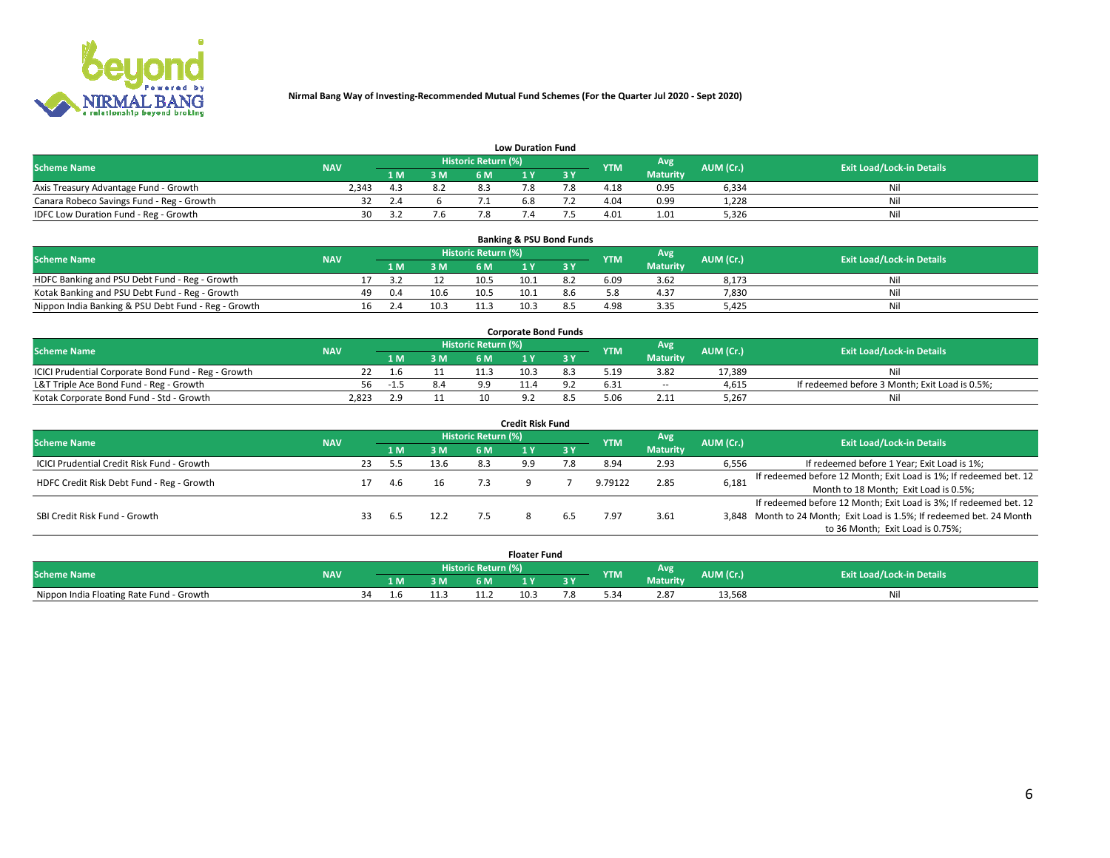

|                                           | <b>Low Duration Fund</b> |     |     |                            |  |     |            |                 |           |                                  |  |  |  |  |  |
|-------------------------------------------|--------------------------|-----|-----|----------------------------|--|-----|------------|-----------------|-----------|----------------------------------|--|--|--|--|--|
| <b>Scheme Name</b>                        | <b>NAV</b>               |     |     | <b>Historic Return (%)</b> |  |     | <b>YTM</b> | Avg             | AUM (Cr.) | <b>Exit Load/Lock-in Details</b> |  |  |  |  |  |
|                                           |                          | 1 M | 3 M |                            |  | 3 Y |            | <b>Maturity</b> |           |                                  |  |  |  |  |  |
| Axis Treasury Advantage Fund - Growth     | 2.343                    |     | 8.2 |                            |  |     | 4.18       | 0.95            | 6,334     | Nil                              |  |  |  |  |  |
| Canara Robeco Savings Fund - Reg - Growth | 32                       | 2.4 |     |                            |  |     | 4.04       | 0.99            | 1,228     | Nil                              |  |  |  |  |  |
| IDFC Low Duration Fund - Reg - Growth     | 30                       |     | '.6 |                            |  |     | 4.01       | 1.01            | 5,326     | Nil                              |  |  |  |  |  |

| <b>Banking &amp; PSU Bond Funds</b>                 |            |    |     |      |                            |      |                   |      |                 |                                  |     |  |  |  |
|-----------------------------------------------------|------------|----|-----|------|----------------------------|------|-------------------|------|-----------------|----------------------------------|-----|--|--|--|
| <b>Scheme Name</b>                                  | <b>NAV</b> |    |     |      | <b>Historic Return (%)</b> |      | Avg<br><b>YTM</b> |      | AUM (Cr.)       | <b>Exit Load/Lock-in Details</b> |     |  |  |  |
|                                                     |            |    |     | 3 M  | 6 M                        |      |                   |      | <b>Maturity</b> |                                  |     |  |  |  |
| HDFC Banking and PSU Debt Fund - Reg - Growth       |            |    |     |      | 10.5                       | 10.1 |                   | 6.09 | 3.62            | 8,173                            | Nil |  |  |  |
| Kotak Banking and PSU Debt Fund - Reg - Growth      |            | 49 | 0.4 | 10.6 | 10.5                       | 10.1 | 8.6               |      | 4.37            | 7,830                            | Nil |  |  |  |
| Nippon India Banking & PSU Debt Fund - Reg - Growth |            | 16 |     | 10.3 |                            | 10.3 |                   | 4.98 | 3.35            | 5.425                            | Ni  |  |  |  |

| <b>Corporate Bond Funds</b>                         |            |     |     |                            |      |  |            |                 |           |                                                |  |  |  |  |
|-----------------------------------------------------|------------|-----|-----|----------------------------|------|--|------------|-----------------|-----------|------------------------------------------------|--|--|--|--|
| <b>Scheme Name</b>                                  | <b>NAV</b> |     |     | <b>Historic Return (%)</b> |      |  | <b>YTM</b> | Avg             | AUM (Cr.) | <b>Exit Load/Lock-in Details</b>               |  |  |  |  |
|                                                     |            |     | 3 M | 6 M                        |      |  |            | <b>Maturity</b> |           |                                                |  |  |  |  |
| ICICI Prudential Corporate Bond Fund - Reg - Growth |            |     |     |                            | 10.3 |  | 5.19       | 3.82            | 17.389    | Nil                                            |  |  |  |  |
| L&T Triple Ace Bond Fund - Reg - Growth             | 56         | -15 | 8.4 | $^{\circ}$                 |      |  | 6.31       | $\sim$ $-$      | 4,615     | If redeemed before 3 Month; Exit Load is 0.5%; |  |  |  |  |
| Kotak Corporate Bond Fund - Std - Growth            | 2,823      |     |     | 10                         |      |  |            | 2.11            | 5,267     | Nil                                            |  |  |  |  |

| <b>Credit Risk Fund</b>                    |            |    |     |      |                            |     |           |            |                 |           |                                                                       |  |  |  |
|--------------------------------------------|------------|----|-----|------|----------------------------|-----|-----------|------------|-----------------|-----------|-----------------------------------------------------------------------|--|--|--|
| <b>Scheme Name</b>                         | <b>NAV</b> |    |     |      | <b>Historic Return (%)</b> |     |           | <b>YTM</b> | <b>Avg</b>      | AUM (Cr.) | <b>Exit Load/Lock-in Details</b>                                      |  |  |  |
|                                            |            |    | 1 M | 3 M  | 6 M                        |     | <b>3Y</b> |            | <b>Maturity</b> |           |                                                                       |  |  |  |
| ICICI Prudential Credit Risk Fund - Growth |            | 23 |     | 13.6 | 8.3                        | 9.9 |           | 8.94       | 2.93            | 6,556     | If redeemed before 1 Year; Exit Load is 1%;                           |  |  |  |
| HDFC Credit Risk Debt Fund - Reg - Growth  |            |    |     |      |                            |     |           | 9.79122    | 2.85            | 6,181     | If redeemed before 12 Month; Exit Load is 1%; If redeemed bet. 12     |  |  |  |
|                                            |            |    | 4 h |      |                            |     |           |            |                 |           | Month to 18 Month; Exit Load is 0.5%;                                 |  |  |  |
|                                            |            |    |     |      |                            |     |           |            |                 |           | If redeemed before 12 Month; Exit Load is 3%; If redeemed bet. 12     |  |  |  |
| SBI Credit Risk Fund - Growth              |            | 33 | 6.5 | 12.2 |                            |     |           | '.97       | 3.61            |           | 3,848 Month to 24 Month; Exit Load is 1.5%; If redeemed bet. 24 Month |  |  |  |
|                                            |            |    |     |      |                            |     |           |            |                 |           | to 36 Month; Exit Load is 0.75%;                                      |  |  |  |

| <b>Floater Fund</b>                      |            |    |     |    |                     |      |   |            |                        |           |                                  |
|------------------------------------------|------------|----|-----|----|---------------------|------|---|------------|------------------------|-----------|----------------------------------|
| <b>Scheme Name</b>                       | <b>NAV</b> |    |     |    | Historic Return (%) |      |   | <b>YTM</b> | Avg<br><b>Maturity</b> | AUM (Cr.) | <b>Exit Load/Lock-in Details</b> |
|                                          |            |    | 1 M | ЗM | 6 M                 | - 17 | . |            |                        |           |                                  |
| Nippon India Floating Rate Fund - Growth |            | 34 |     |    |                     | 10.5 |   |            | 2.87                   | 13,568    | NL                               |